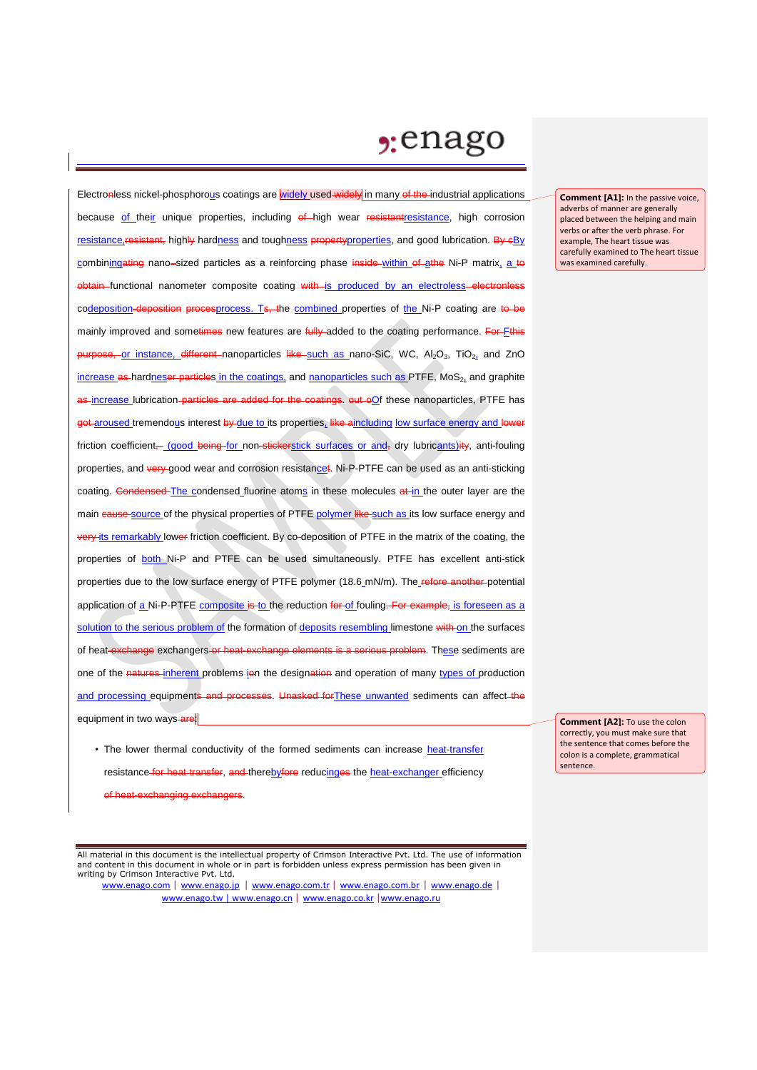## $2:$ enago

Electronless nickel-phosphorous coatings are widely used widely in many of the industrial applications because of their unique properties, including of high wear resistantresistance, high corrosion resistance, resistant, highly hardness and toughness propertyproperties, and good lubrication. By cBy combiningating nano-sized particles as a reinforcing phase inside within of athe Ni-P matrix, a to obtain functional nanometer composite coating with is produced by an electroless-electron codeposition-deposition procesprocess. Ts, the combined properties of the Ni-P coating are to be mainly improved and sometimes new features are fully added to the coating performance. For Fthis purpose, or instance, different nanoparticles like such as nano-SiC, WC, Al<sub>2</sub>O<sub>3</sub>, TiO<sub>2</sub>, and ZnO increase as hardneser particles in the coatings, and nanoparticles such as PTFE,  $MoS<sub>2</sub>$  and graphite as increase lubrication particles are added for the coatings, out oOf these nanoparticles, PTFE has got aroused tremendous interest by due to its properties, like aincluding low surface energy and lower friction coefficient, (good being for non-stickerstick surfaces or and, dry lubricants) ity, anti-fouling properties, and very good wear and corrosion resistancet. Ni-P-PTFE can be used as an anti-sticking coating. Condensed The condensed fluorine atoms in these molecules at in the outer layer are the main cause source of the physical properties of PTFE polymer like such as its low surface energy and very its remarkably lower friction coefficient. By co-deposition of PTFE in the matrix of the coating, the properties of both Ni-P and PTFE can be used simultaneously. PTFE has excellent anti-stick properties due to the low surface energy of PTFE polymer (18.6\_mN/m). The refore another-potential application of a Ni-P-PTFE composite is to the reduction for of fouling. For example, is foreseen as a solution to the serious problem of the formation of deposits resembling limestone with on the surfaces of heat-exchange exchangers or heat-exchange elements is a serious problem. These sediments are one of the natures inherent problems ion the designation and operation of many types of production and processing equipments and processes. Unasked for These unwanted sediments can affect the equipment in two ways-are:

• The lower thermal conductivity of the formed sediments can increase heat-transfer resistance for heat transfer, and therebyfore reducinges the heat-exchanger efficiency of heat-exchanging exchangers.

All material in this document is the intellectual property of Crimson Interactive Pvt. Ltd. The use of information and content in this document in whole or in part is forbidden unless express permission has been given in writing by Crimson Interactive Pvt. Ltd.

www.enago.com | www.enago.jp | www.enago.com.tr | www.enago.com.br | www.enago.de | www.enago.tw | www.enago.cn | www.enago.co.kr |www.enago.ru

**Comment [A2]:** To use the colon correctly, you must make sure that the sentence that comes before the colon is a complete, grammatical sentence.

**Comment [A1]:** In the passive voice, adverbs of manner are generally placed between the helping and main verbs or after the verb phrase. For example, The heart tissue was carefully examined to The heart tissue was examined carefully.